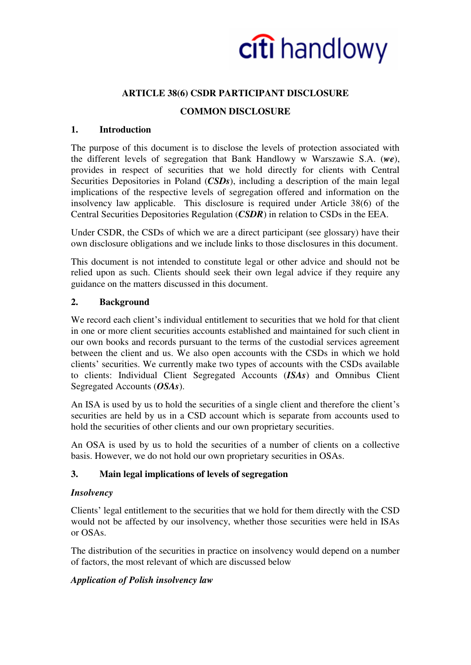

### **ARTICLE 38(6) CSDR PARTICIPANT DISCLOSURE**

### **COMMON DISCLOSURE**

#### **1. Introduction**

The purpose of this document is to disclose the levels of protection associated with the different levels of segregation that Bank Handlowy w Warszawie S.A. (*we*), provides in respect of securities that we hold directly for clients with Central Securities Depositories in Poland (*CSDs*), including a description of the main legal implications of the respective levels of segregation offered and information on the insolvency law applicable. This disclosure is required under Article 38(6) of the Central Securities Depositories Regulation (*CSDR*) in relation to CSDs in the EEA.

Under CSDR, the CSDs of which we are a direct participant (see glossary) have their own disclosure obligations and we include links to those disclosures in this document.

This document is not intended to constitute legal or other advice and should not be relied upon as such. Clients should seek their own legal advice if they require any guidance on the matters discussed in this document.

#### **2. Background**

We record each client's individual entitlement to securities that we hold for that client in one or more client securities accounts established and maintained for such client in our own books and records pursuant to the terms of the custodial services agreement between the client and us. We also open accounts with the CSDs in which we hold clients' securities. We currently make two types of accounts with the CSDs available to clients: Individual Client Segregated Accounts (*ISAs*) and Omnibus Client Segregated Accounts (*OSAs*).

An ISA is used by us to hold the securities of a single client and therefore the client's securities are held by us in a CSD account which is separate from accounts used to hold the securities of other clients and our own proprietary securities.

An OSA is used by us to hold the securities of a number of clients on a collective basis. However, we do not hold our own proprietary securities in OSAs.

#### **3. Main legal implications of levels of segregation**

#### *Insolvency*

Clients' legal entitlement to the securities that we hold for them directly with the CSD would not be affected by our insolvency, whether those securities were held in ISAs or OSAs.

The distribution of the securities in practice on insolvency would depend on a number of factors, the most relevant of which are discussed below

#### *Application of Polish insolvency law*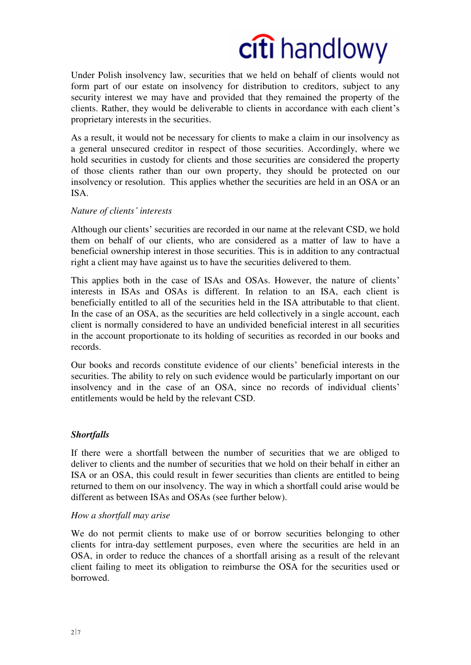## citi handlowy

Under Polish insolvency law, securities that we held on behalf of clients would not form part of our estate on insolvency for distribution to creditors, subject to any security interest we may have and provided that they remained the property of the clients. Rather, they would be deliverable to clients in accordance with each client's proprietary interests in the securities.

As a result, it would not be necessary for clients to make a claim in our insolvency as a general unsecured creditor in respect of those securities. Accordingly, where we hold securities in custody for clients and those securities are considered the property of those clients rather than our own property, they should be protected on our insolvency or resolution. This applies whether the securities are held in an OSA or an ISA.

#### *Nature of clients' interests*

Although our clients' securities are recorded in our name at the relevant CSD, we hold them on behalf of our clients, who are considered as a matter of law to have a beneficial ownership interest in those securities. This is in addition to any contractual right a client may have against us to have the securities delivered to them.

This applies both in the case of ISAs and OSAs. However, the nature of clients' interests in ISAs and OSAs is different. In relation to an ISA, each client is beneficially entitled to all of the securities held in the ISA attributable to that client. In the case of an OSA, as the securities are held collectively in a single account, each client is normally considered to have an undivided beneficial interest in all securities in the account proportionate to its holding of securities as recorded in our books and records.

Our books and records constitute evidence of our clients' beneficial interests in the securities. The ability to rely on such evidence would be particularly important on our insolvency and in the case of an OSA, since no records of individual clients' entitlements would be held by the relevant CSD.

#### *Shortfalls*

If there were a shortfall between the number of securities that we are obliged to deliver to clients and the number of securities that we hold on their behalf in either an ISA or an OSA, this could result in fewer securities than clients are entitled to being returned to them on our insolvency. The way in which a shortfall could arise would be different as between ISAs and OSAs (see further below).

#### *How a shortfall may arise*

We do not permit clients to make use of or borrow securities belonging to other clients for intra-day settlement purposes, even where the securities are held in an OSA, in order to reduce the chances of a shortfall arising as a result of the relevant client failing to meet its obligation to reimburse the OSA for the securities used or borrowed.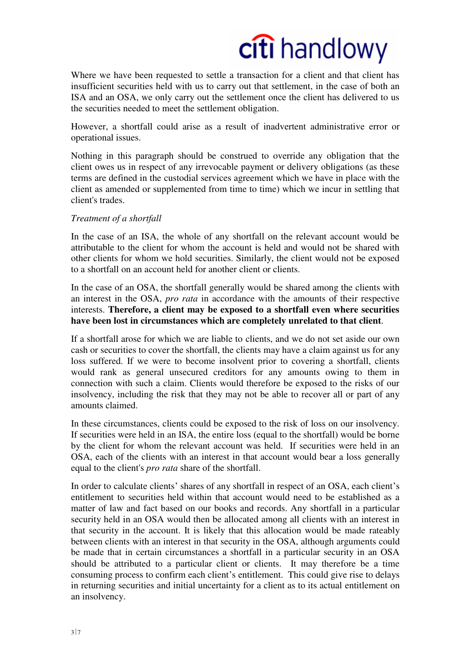## citi handlowy

Where we have been requested to settle a transaction for a client and that client has insufficient securities held with us to carry out that settlement, in the case of both an ISA and an OSA, we only carry out the settlement once the client has delivered to us the securities needed to meet the settlement obligation.

However, a shortfall could arise as a result of inadvertent administrative error or operational issues.

Nothing in this paragraph should be construed to override any obligation that the client owes us in respect of any irrevocable payment or delivery obligations (as these terms are defined in the custodial services agreement which we have in place with the client as amended or supplemented from time to time) which we incur in settling that client's trades.

#### *Treatment of a shortfall*

In the case of an ISA, the whole of any shortfall on the relevant account would be attributable to the client for whom the account is held and would not be shared with other clients for whom we hold securities. Similarly, the client would not be exposed to a shortfall on an account held for another client or clients.

In the case of an OSA, the shortfall generally would be shared among the clients with an interest in the OSA, *pro rata* in accordance with the amounts of their respective interests. **Therefore, a client may be exposed to a shortfall even where securities have been lost in circumstances which are completely unrelated to that client**.

If a shortfall arose for which we are liable to clients, and we do not set aside our own cash or securities to cover the shortfall, the clients may have a claim against us for any loss suffered. If we were to become insolvent prior to covering a shortfall, clients would rank as general unsecured creditors for any amounts owing to them in connection with such a claim. Clients would therefore be exposed to the risks of our insolvency, including the risk that they may not be able to recover all or part of any amounts claimed.

In these circumstances, clients could be exposed to the risk of loss on our insolvency. If securities were held in an ISA, the entire loss (equal to the shortfall) would be borne by the client for whom the relevant account was held. If securities were held in an OSA, each of the clients with an interest in that account would bear a loss generally equal to the client's *pro rata* share of the shortfall.

In order to calculate clients' shares of any shortfall in respect of an OSA, each client's entitlement to securities held within that account would need to be established as a matter of law and fact based on our books and records. Any shortfall in a particular security held in an OSA would then be allocated among all clients with an interest in that security in the account. It is likely that this allocation would be made rateably between clients with an interest in that security in the OSA, although arguments could be made that in certain circumstances a shortfall in a particular security in an OSA should be attributed to a particular client or clients. It may therefore be a time consuming process to confirm each client's entitlement. This could give rise to delays in returning securities and initial uncertainty for a client as to its actual entitlement on an insolvency.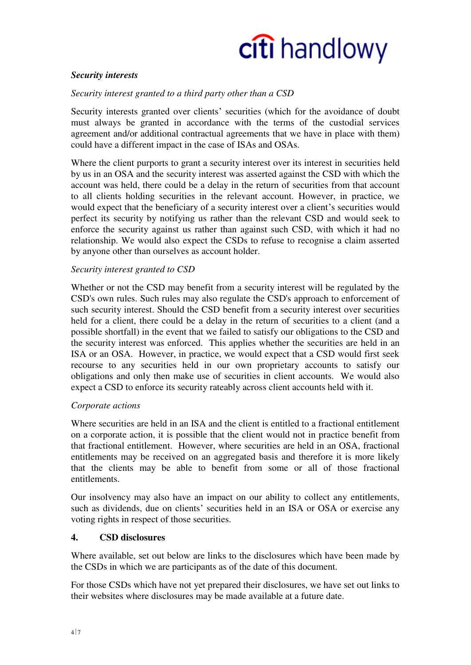

#### *Security interests*

#### *Security interest granted to a third party other than a CSD*

Security interests granted over clients' securities (which for the avoidance of doubt must always be granted in accordance with the terms of the custodial services agreement and/or additional contractual agreements that we have in place with them) could have a different impact in the case of ISAs and OSAs.

Where the client purports to grant a security interest over its interest in securities held by us in an OSA and the security interest was asserted against the CSD with which the account was held, there could be a delay in the return of securities from that account to all clients holding securities in the relevant account. However, in practice, we would expect that the beneficiary of a security interest over a client's securities would perfect its security by notifying us rather than the relevant CSD and would seek to enforce the security against us rather than against such CSD, with which it had no relationship. We would also expect the CSDs to refuse to recognise a claim asserted by anyone other than ourselves as account holder.

#### *Security interest granted to CSD*

Whether or not the CSD may benefit from a security interest will be regulated by the CSD's own rules. Such rules may also regulate the CSD's approach to enforcement of such security interest. Should the CSD benefit from a security interest over securities held for a client, there could be a delay in the return of securities to a client (and a possible shortfall) in the event that we failed to satisfy our obligations to the CSD and the security interest was enforced. This applies whether the securities are held in an ISA or an OSA. However, in practice, we would expect that a CSD would first seek recourse to any securities held in our own proprietary accounts to satisfy our obligations and only then make use of securities in client accounts. We would also expect a CSD to enforce its security rateably across client accounts held with it.

#### *Corporate actions*

Where securities are held in an ISA and the client is entitled to a fractional entitlement on a corporate action, it is possible that the client would not in practice benefit from that fractional entitlement. However, where securities are held in an OSA, fractional entitlements may be received on an aggregated basis and therefore it is more likely that the clients may be able to benefit from some or all of those fractional entitlements.

Our insolvency may also have an impact on our ability to collect any entitlements, such as dividends, due on clients' securities held in an ISA or OSA or exercise any voting rights in respect of those securities.

#### **4. CSD disclosures**

Where available, set out below are links to the disclosures which have been made by the CSDs in which we are participants as of the date of this document.

For those CSDs which have not yet prepared their disclosures, we have set out links to their websites where disclosures may be made available at a future date.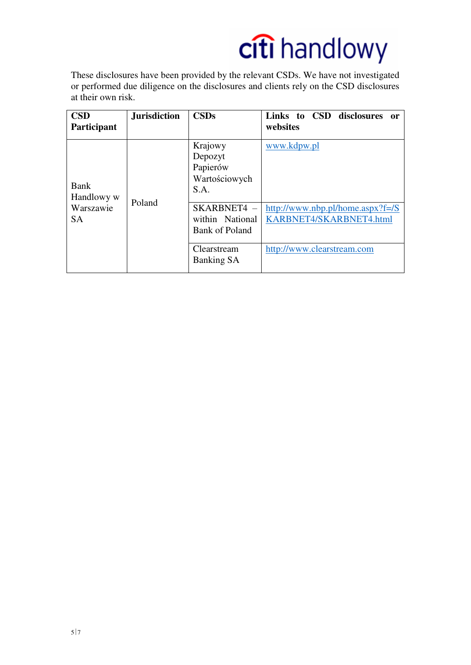# citi handlowy

These disclosures have been provided by the relevant CSDs. We have not investigated or performed due diligence on the disclosures and clients rely on the CSD disclosures at their own risk.

| <b>CSD</b><br>Participant                    | <b>Jurisdiction</b> | <b>CSDs</b>                                                                              | Links to CSD<br>disclosures<br>or<br>websites                                 |
|----------------------------------------------|---------------------|------------------------------------------------------------------------------------------|-------------------------------------------------------------------------------|
| Bank<br>Handlowy w<br>Warszawie<br><b>SA</b> | Poland              | Krajowy<br>Depozyt<br>Papierów<br>Wartościowych<br>S.A.<br>SKARBNET4-<br>within National | www.kdpw.pl<br>http://www.nbp.pl/home.aspx?f=/ $S$<br>KARBNET4/SKARBNET4.html |
|                                              |                     | Bank of Poland                                                                           |                                                                               |
|                                              |                     | Clearstream<br>Banking SA                                                                | http://www.clearstream.com                                                    |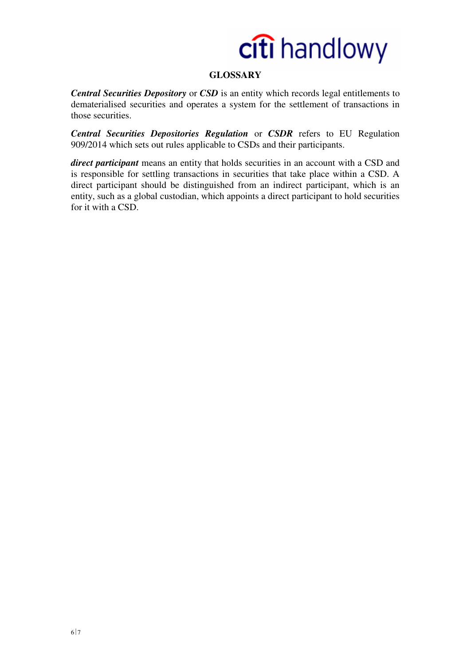

## **GLOSSARY**

*Central Securities Depository* or *CSD* is an entity which records legal entitlements to dematerialised securities and operates a system for the settlement of transactions in those securities.

*Central Securities Depositories Regulation* or *CSDR* refers to EU Regulation 909/2014 which sets out rules applicable to CSDs and their participants.

*direct participant* means an entity that holds securities in an account with a CSD and is responsible for settling transactions in securities that take place within a CSD. A direct participant should be distinguished from an indirect participant, which is an entity, such as a global custodian, which appoints a direct participant to hold securities for it with a CSD.